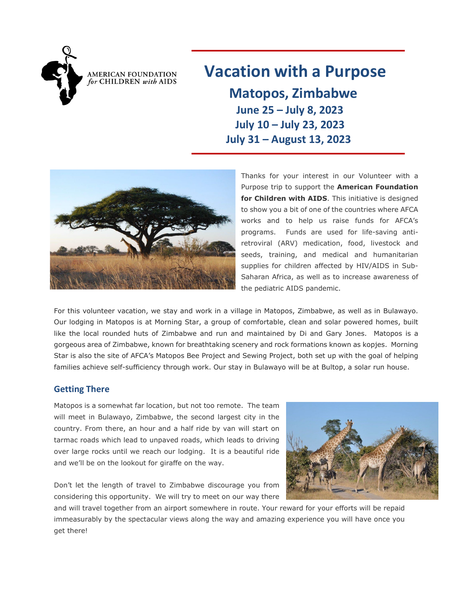

AMERICAN FOUNDATION for CHILDREN with AIDS

# **Vacation with a Purpose**

 **Matopos, Zimbabwe June 25 – July 8, 2023 July 10 – July 23, 2023 July 31 – August 13, 2023**



Thanks for your interest in our Volunteer with a Purpose trip to support the **American Foundation for Children with AIDS**. This initiative is designed to show you a bit of one of the countries where AFCA works and to help us raise funds for AFCA's programs. Funds are used for life-saving antiretroviral (ARV) medication, food, livestock and seeds, training, and medical and humanitarian supplies for children affected by HIV/AIDS in Sub-Saharan Africa, as well as to increase awareness of the pediatric AIDS pandemic.

For this volunteer vacation, we stay and work in a village in Matopos, Zimbabwe, as well as in Bulawayo. Our lodging in Matopos is at Morning Star, a group of comfortable, clean and solar powered homes, built like the local rounded huts of Zimbabwe and run and maintained by Di and Gary Jones. Matopos is a gorgeous area of Zimbabwe, known for breathtaking scenery and rock formations known as kopjes. Morning Star is also the site of AFCA's Matopos Bee Project and Sewing Project, both set up with the goal of helping families achieve self-sufficiency through work. Our stay in Bulawayo will be at Bultop, a solar run house.

### **Getting There**

Matopos is a somewhat far location, but not too remote. The team will meet in Bulawayo, Zimbabwe, the second largest city in the country. From there, an hour and a half ride by van will start on tarmac roads which lead to unpaved roads, which leads to driving over large rocks until we reach our lodging. It is a beautiful ride and we'll be on the lookout for giraffe on the way.

Don't let the length of travel to Zimbabwe discourage you from considering this opportunity. We will try to meet on our way there

and will travel together from an airport somewhere in route. Your reward for your efforts will be repaid immeasurably by the spectacular views along the way and amazing experience you will have once you get there!

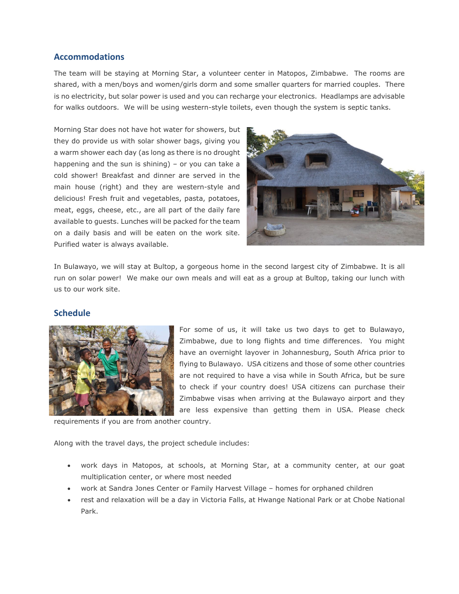#### **Accommodations**

The team will be staying at Morning Star, a volunteer center in Matopos, Zimbabwe. The rooms are shared, with a men/boys and women/girls dorm and some smaller quarters for married couples. There is no electricity, but solar power is used and you can recharge your electronics. Headlamps are advisable for walks outdoors. We will be using western-style toilets, even though the system is septic tanks.

Morning Star does not have hot water for showers, but they do provide us with solar shower bags, giving you a warm shower each day (as long as there is no drought happening and the sun is shining) – or you can take a cold shower! Breakfast and dinner are served in the main house (right) and they are western-style and delicious! Fresh fruit and vegetables, pasta, potatoes, meat, eggs, cheese, etc., are all part of the daily fare available to guests. Lunches will be packed for the team on a daily basis and will be eaten on the work site. Purified water is always available.



In Bulawayo, we will stay at Bultop, a gorgeous home in the second largest city of Zimbabwe. It is all run on solar power! We make our own meals and will eat as a group at Bultop, taking our lunch with us to our work site.

#### **Schedule**



For some of us, it will take us two days to get to Bulawayo, Zimbabwe, due to long flights and time differences. You might have an overnight layover in Johannesburg, South Africa prior to flying to Bulawayo. USA citizens and those of some other countries are not required to have a visa while in South Africa, but be sure to check if your country does! USA citizens can purchase their Zimbabwe visas when arriving at the Bulawayo airport and they are less expensive than getting them in USA. Please check

requirements if you are from another country.

Along with the travel days, the project schedule includes:

- work days in Matopos, at schools, at Morning Star, at a community center, at our goat multiplication center, or where most needed
- work at Sandra Jones Center or Family Harvest Village homes for orphaned children
- rest and relaxation will be a day in Victoria Falls, at Hwange National Park or at Chobe National Park.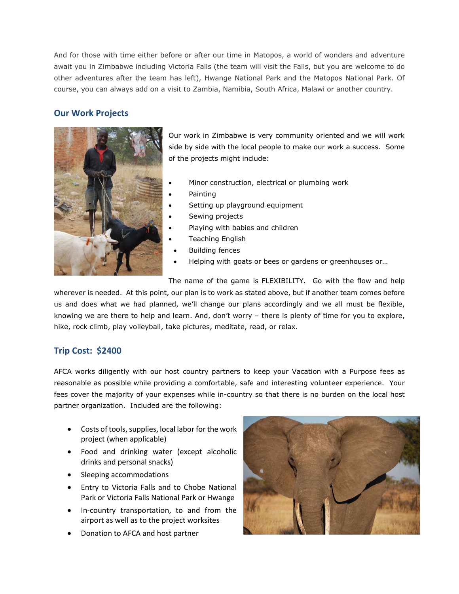And for those with time either before or after our time in Matopos, a world of wonders and adventure await you in Zimbabwe including Victoria Falls (the team will visit the Falls, but you are welcome to do other adventures after the team has left), Hwange National Park and the Matopos National Park. Of course, you can always add on a visit to Zambia, Namibia, South Africa, Malawi or another country.

## **Our Work Projects**



Our work in Zimbabwe is very community oriented and we will work side by side with the local people to make our work a success. Some of the projects might include:

- Minor construction, electrical or plumbing work
- Painting
- Setting up playground equipment
- Sewing projects
- Playing with babies and children
- Teaching English
- Building fences
- Helping with goats or bees or gardens or greenhouses or…

The name of the game is FLEXIBILITY. Go with the flow and help

wherever is needed. At this point, our plan is to work as stated above, but if another team comes before us and does what we had planned, we'll change our plans accordingly and we all must be flexible, knowing we are there to help and learn. And, don't worry – there is plenty of time for you to explore, hike, rock climb, play volleyball, take pictures, meditate, read, or relax.

## **Trip Cost: \$2400**

AFCA works diligently with our host country partners to keep your Vacation with a Purpose fees as reasonable as possible while providing a comfortable, safe and interesting volunteer experience. Your fees cover the majority of your expenses while in-country so that there is no burden on the local host partner organization. Included are the following:

- Costs of tools, supplies, local labor for the work project (when applicable)
- Food and drinking water (except alcoholic drinks and personal snacks)
- Sleeping accommodations
- Entry to Victoria Falls and to Chobe National Park or Victoria Falls National Park or Hwange
- In-country transportation, to and from the airport as well as to the project worksites
- Donation to AFCA and host partner